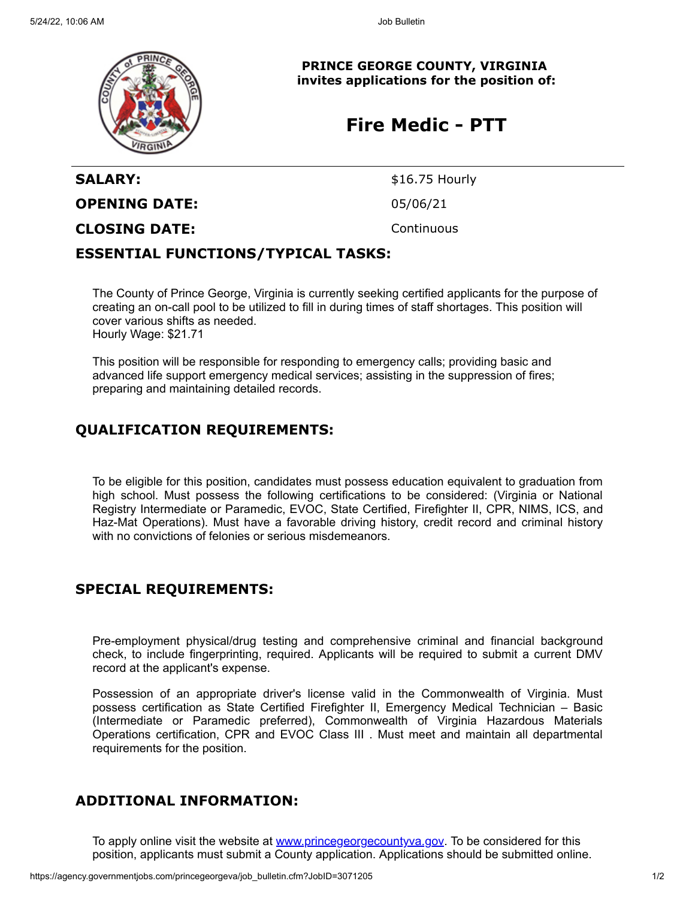

**PRINCE GEORGE COUNTY, VIRGINIA invites applications for the position of:**

## **Fire Medic - PTT**

# SALARY: \$16.75 Hourly **OPENING DATE:** 05/06/21 **CLOSING DATE:** Continuous

#### **ESSENTIAL FUNCTIONS/TYPICAL TASKS:**

The County of Prince George, Virginia is currently seeking certified applicants for the purpose of creating an on-call pool to be utilized to fill in during times of staff shortages. This position will cover various shifts as needed. Hourly Wage: \$21.71

This position will be responsible for responding to emergency calls; providing basic and advanced life support emergency medical services; assisting in the suppression of fires; preparing and maintaining detailed records.

### **QUALIFICATION REQUIREMENTS:**

To be eligible for this position, candidates must possess education equivalent to graduation from high school. Must possess the following certifications to be considered: (Virginia or National Registry Intermediate or Paramedic, EVOC, State Certified, Firefighter II, CPR, NIMS, ICS, and Haz-Mat Operations). Must have a favorable driving history, credit record and criminal history with no convictions of felonies or serious misdemeanors.

### **SPECIAL REQUIREMENTS:**

Pre-employment physical/drug testing and comprehensive criminal and financial background check, to include fingerprinting, required. Applicants will be required to submit a current DMV record at the applicant's expense.

Possession of an appropriate driver's license valid in the Commonwealth of Virginia. Must possess certification as State Certified Firefighter II, Emergency Medical Technician – Basic (Intermediate or Paramedic preferred), Commonwealth of Virginia Hazardous Materials Operations certification, CPR and EVOC Class III . Must meet and maintain all departmental requirements for the position.

### **ADDITIONAL INFORMATION:**

To apply online visit the website at [www.princegeorgecountyva.gov](http://www.princegeorgecountyva.gov/). To be considered for this position, applicants must submit a County application. Applications should be submitted online.